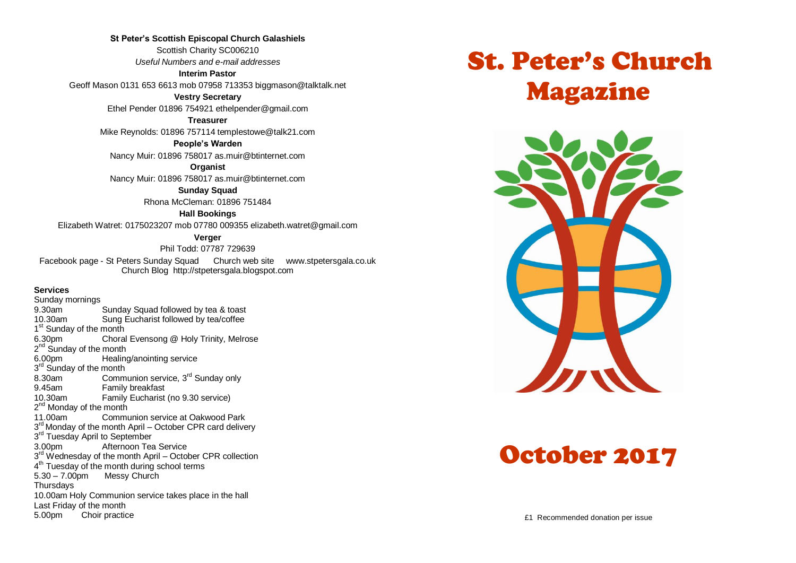**St Peter's Scottish Episcopal Church Galashiels** Scottish Charity SC006210 *Useful Numbers and e-mail addresses*

**Interim Pastor**

Geoff Mason 0131 653 6613 mob 07958 713353 biggmason@talktalk.net

**Vestry Secretary**

Ethel Pender 01896 754921 ethelpender@gmail.com

**Treasurer**

Mike Reynolds: 01896 757114 templestowe@talk21.com

**People's Warden**

Nancy Muir: 01896 758017 as.muir@btinternet.com

**Organist**

Nancy Muir: 01896 758017 as.muir@btinternet.com

**Sunday Squad** Rhona McCleman: 01896 751484

**Hall Bookings**

Elizabeth Watret: 0175023207 mob 07780 009355 elizabeth.watret@gmail.com

**Verger**

Phil Todd: 07787 729639

Facebook page - St Peters Sunday Squad Church web site www.stpetersgala.co.uk Church Blog [http://stpetersgala.blogspot.com](http://stpetersgala.blogspot.com/)

**Services**

Sunday mornings 9.30am Sunday Squad followed by tea & toast 10.30am Sung Eucharist followed by tea/coffee 1<sup>st</sup> Sunday of the month 6.30pm Choral Evensong @ Holy Trinity, Melrose 2<sup>nd</sup> Sunday of the month 6.00pm Healing/anointing service 3<sup>rd</sup> Sunday of the month 8.30am Communion service,  $3^{rd}$  Sunday only<br>9.45am Family breakfast Family breakfast 10.30am Family Eucharist (no 9.30 service) 2<sup>nd</sup> Monday of the month 11.00am Communion service at Oakwood Park 3<sup>rd</sup> Monday of the month April – October CPR card delivery 3<sup>rd</sup> Tuesday April to September 3.00pm Afternoon Tea Service 3<sup>rd</sup> Wednesday of the month April – October CPR collection 4<sup>th</sup> Tuesday of the month during school terms  $5.30 - 7.00$ pm Messy Church **Thursdays** 10.00am Holy Communion service takes place in the hall Last Friday of the month 5.00pm Choir practice

# St. Peter's Church Magazine



# October 2017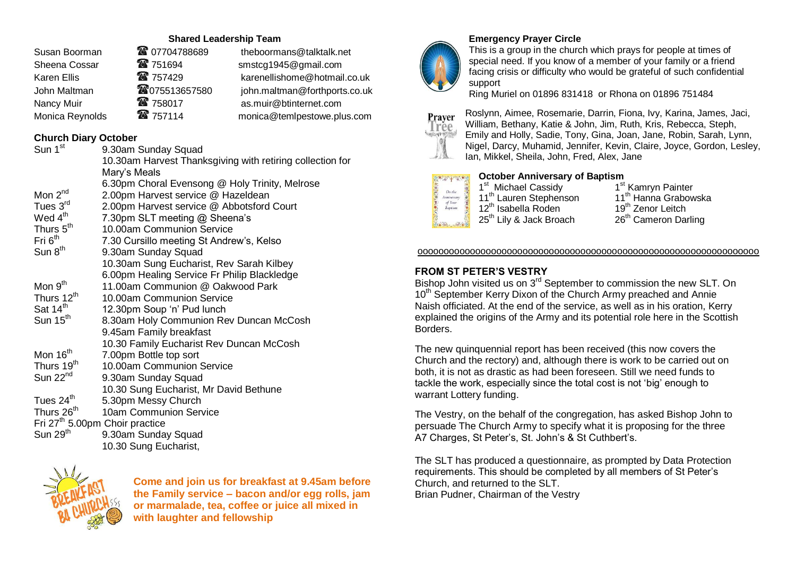## **Shared Leadership Team**

| Susan Boorman   | <b>@</b> 07704788689 | theboormans@talktalk.net      |
|-----------------|----------------------|-------------------------------|
| Sheena Cossar   | <b>雷 751694</b>      | smstcg1945@gmail.com          |
| Karen Ellis     | ☎ 757429             | karenellishome@hotmail.co.uk  |
| John Maltman    | <b>@075513657580</b> | john.maltman@forthports.co.uk |
| Nancy Muir      | ☎ 758017             | as.muir@btinternet.com        |
| Monica Reynolds | 雷 757114             | monica@temlpestowe.plus.com   |
|                 |                      |                               |

# **Church Diary October**

| Sun 1 <sup>st</sup>    | 9.30am Sunday Squad                                       |
|------------------------|-----------------------------------------------------------|
|                        | 10.30am Harvest Thanksgiving with retiring collection for |
|                        | Mary's Meals                                              |
|                        | 6.30pm Choral Evensong @ Holy Trinity, Melrose            |
| Mon 2 <sup>nd</sup>    | 2.00pm Harvest service @ Hazeldean                        |
| Tues 3rd               | 2.00pm Harvest service @ Abbotsford Court                 |
| Wed 4 <sup>th</sup>    | 7.30pm SLT meeting @ Sheena's                             |
| Thurs 5 <sup>th</sup>  | 10.00am Communion Service                                 |
| Fri 6 <sup>th</sup>    | 7.30 Cursillo meeting St Andrew's, Kelso                  |
| Sun 8 <sup>th</sup>    | 9.30am Sunday Squad                                       |
|                        | 10.30am Sung Eucharist, Rev Sarah Kilbey                  |
|                        | 6.00pm Healing Service Fr Philip Blackledge               |
| Mon $9th$              | 11.00am Communion @ Oakwood Park                          |
| Thurs 12 <sup>th</sup> | 10.00am Communion Service                                 |
| Sat 14 <sup>th</sup>   | 12.30pm Soup 'n' Pud lunch                                |
| Sun 15 <sup>th</sup>   | 8.30am Holy Communion Rev Duncan McCosh                   |
|                        | 9.45am Family breakfast                                   |
|                        | 10.30 Family Eucharist Rev Duncan McCosh                  |
| Mon 16 <sup>th</sup>   | 7.00pm Bottle top sort                                    |
| Thurs 19 <sup>th</sup> | 10.00am Communion Service                                 |
| Sun 22 <sup>nd</sup>   | 9.30am Sunday Squad                                       |
|                        | 10.30 Sung Eucharist, Mr David Bethune                    |
| Tues 24 <sup>th</sup>  | 5.30pm Messy Church                                       |
| Thurs 26 <sup>th</sup> | 10am Communion Service                                    |
|                        | Fri 27 <sup>th</sup> 5.00pm Choir practice                |
| Sun 29 <sup>th</sup>   | 9.30am Sunday Squad                                       |
|                        | 10.30 Sung Eucharist,                                     |
|                        |                                                           |



**Come and join us for breakfast at 9.45am before the Family service – bacon and/or egg rolls, jam or marmalade, tea, coffee or juice all mixed in with laughter and fellowship**



## **Emergency Prayer Circle**

This is a group in the church which prays for people at times of special need. If you know of a member of your family or a friend facing crisis or difficulty who would be grateful of such confidential support

Ring Muriel on 01896 831418 or Rhona on 01896 751484



Roslynn, Aimee, Rosemarie, Darrin, Fiona, Ivy, Karina, James, Jaci, William, Bethany, Katie & John, Jim, Ruth, Kris, Rebecca, Steph, Emily and Holly, Sadie, Tony, Gina, Joan, Jane, Robin, Sarah, Lynn, Nigel, Darcy, Muhamid, Jennifer, Kevin, Claire, Joyce, Gordon, Lesley, Ian, Mikkel, Sheila, John, Fred, Alex, Jane



## **October Anniversary of Baptism**

1<sup>st</sup> Michael Cassidy 1 1<sup>st</sup> Kamryn Painter<br>11<sup>th</sup> Hanna Grabowska 11<sup>th</sup> Lauren Stephenson 11<sup>th</sup> Hanna Grabo<br>12<sup>th</sup> Isabella Roden 19<sup>th</sup> Zenor Leitch 12<sup>th</sup> Isabella Roden 19<sup>th</sup> Zenor Leitch<br>25<sup>th</sup> Lily & Jack Broach 26<sup>th</sup> Cameron Darling

#### ooooooooooooooooooooooooooooooooooooooooooooooooooooooooooooooooo

#### **FROM ST PETER'S VESTRY**

Bishop John visited us on 3<sup>rd</sup> September to commission the new SLT. On 10<sup>th</sup> September Kerry Dixon of the Church Army preached and Annie Naish officiated. At the end of the service, as well as in his oration, Kerry explained the origins of the Army and its potential role here in the Scottish Borders.

The new quinquennial report has been received (this now covers the Church and the rectory) and, although there is work to be carried out on both, it is not as drastic as had been foreseen. Still we need funds to tackle the work, especially since the total cost is not 'big' enough to warrant Lottery funding.

The Vestry, on the behalf of the congregation, has asked Bishop John to persuade The Church Army to specify what it is proposing for the three A7 Charges, St Peter's, St. John's & St Cuthbert's.

The SLT has produced a questionnaire, as prompted by Data Protection requirements. This should be completed by all members of St Peter's Church, and returned to the SLT. Brian Pudner, Chairman of the Vestry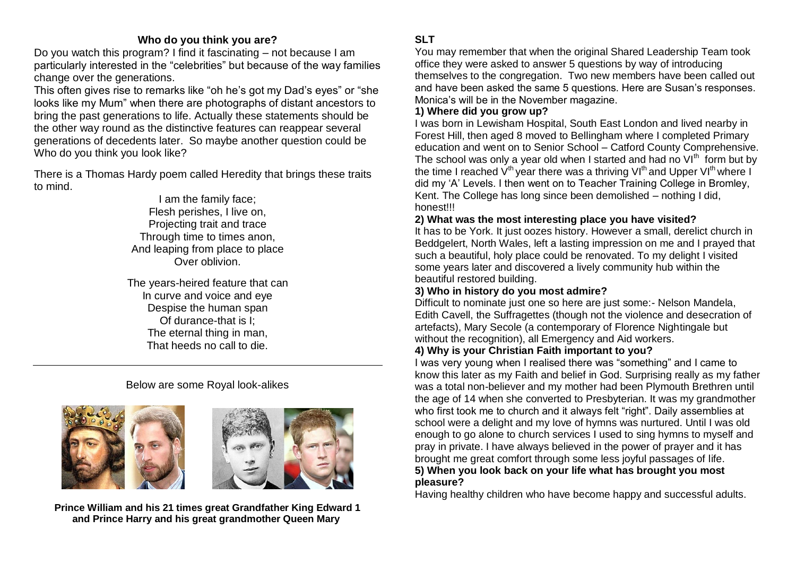## **Who do you think you are?**

Do you watch this program? I find it fascinating – not because I am particularly interested in the "celebrities" but because of the way families change over the generations.

This often gives rise to remarks like "oh he's got my Dad's eyes" or "she looks like my Mum" when there are photographs of distant ancestors to bring the past generations to life. Actually these statements should be the other way round as the distinctive features can reappear several generations of decedents later. So maybe another question could be Who do you think you look like?

There is a Thomas Hardy poem called Heredity that brings these traits to mind.

> I am the family face; Flesh perishes, I live on, Projecting trait and trace Through time to times anon, And leaping from place to place Over oblivion.

The years-heired feature that can In curve and voice and eye Despise the human span Of durance-that is I; The eternal thing in man, That heeds no call to die.

# Below are some Royal look-alikes





**Prince William and his 21 times great Grandfather King Edward 1 and Prince Harry and his great grandmother Queen Mary**

## **SLT**

You may remember that when the original Shared Leadership Team took office they were asked to answer 5 questions by way of introducing themselves to the congregation. Two new members have been called out and have been asked the same 5 questions. Here are Susan's responses. Monica's will be in the November magazine.

## **1) Where did you grow up?**

I was born in Lewisham Hospital, South East London and lived nearby in Forest Hill, then aged 8 moved to Bellingham where I completed Primary education and went on to Senior School – Catford County Comprehensive. The school was only a year old when I started and had no  $VI<sup>th</sup>$  form but by the time I reached  $V^{th}$  year there was a thriving  $VI^{th}$  and Upper  $VI^{th}$  where I did my 'A' Levels. I then went on to Teacher Training College in Bromley, Kent. The College has long since been demolished – nothing I did, honest!!!

## **2) What was the most interesting place you have visited?**

It has to be York. It just oozes history. However a small, derelict church in Beddgelert, North Wales, left a lasting impression on me and I prayed that such a beautiful, holy place could be renovated. To my delight I visited some years later and discovered a lively community hub within the beautiful restored building.

## **3) Who in history do you most admire?**

Difficult to nominate just one so here are just some:- Nelson Mandela, Edith Cavell, the Suffragettes (though not the violence and desecration of artefacts), Mary Secole (a contemporary of Florence Nightingale but without the recognition), all Emergency and Aid workers.

## **4) Why is your Christian Faith important to you?**

I was very young when I realised there was "something" and I came to know this later as my Faith and belief in God. Surprising really as my father was a total non-believer and my mother had been Plymouth Brethren until the age of 14 when she converted to Presbyterian. It was my grandmother who first took me to church and it always felt "right". Daily assemblies at school were a delight and my love of hymns was nurtured. Until I was old enough to go alone to church services I used to sing hymns to myself and pray in private. I have always believed in the power of prayer and it has brought me great comfort through some less joyful passages of life. **5) When you look back on your life what has brought you most pleasure?**

Having healthy children who have become happy and successful adults.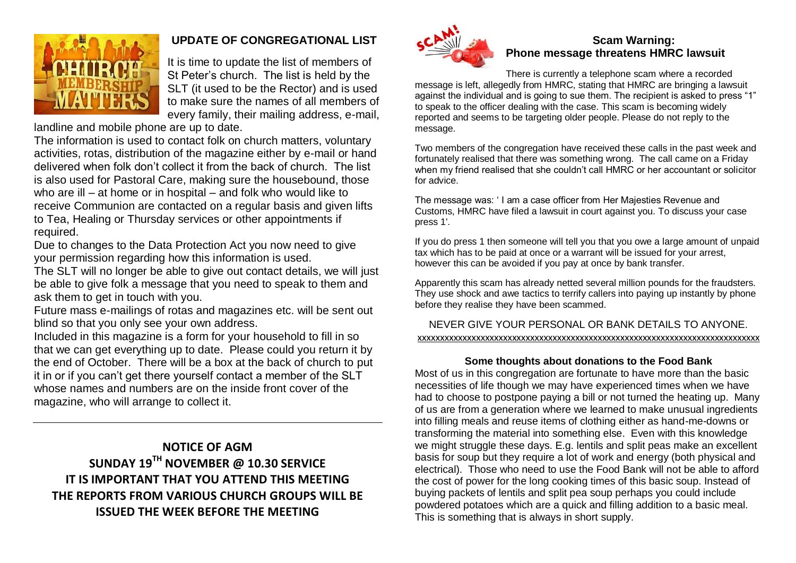

# **UPDATE OF CONGREGATIONAL LIST**

It is time to update the list of members of St Peter's church. The list is held by the SLT (it used to be the Rector) and is used to make sure the names of all members of every family, their mailing address, e-mail,

landline and mobile phone are up to date.

The information is used to contact folk on church matters, voluntary activities, rotas, distribution of the magazine either by e-mail or hand delivered when folk don't collect it from the back of church. The list is also used for Pastoral Care, making sure the housebound, those who are ill – at home or in hospital – and folk who would like to receive Communion are contacted on a regular basis and given lifts to Tea, Healing or Thursday services or other appointments if required.

Due to changes to the Data Protection Act you now need to give your permission regarding how this information is used.

The SLT will no longer be able to give out contact details, we will just be able to give folk a message that you need to speak to them and ask them to get in touch with you.

Future mass e-mailings of rotas and magazines etc. will be sent out blind so that you only see your own address.

Included in this magazine is a form for your household to fill in so that we can get everything up to date. Please could you return it by the end of October. There will be a box at the back of church to put it in or if you can't get there yourself contact a member of the SLT whose names and numbers are on the inside front cover of the magazine, who will arrange to collect it.

# **NOTICE OF AGM SUNDAY 19TH NOVEMBER @ 10.30 SERVICE IT IS IMPORTANT THAT YOU ATTEND THIS MEETING THE REPORTS FROM VARIOUS CHURCH GROUPS WILL BE ISSUED THE WEEK BEFORE THE MEETING**



# **Scam Warning: Phone message threatens HMRC lawsuit**

There is currently a telephone scam where a recorded message is left, allegedly from HMRC, stating that HMRC are bringing a lawsuit against the individual and is going to sue them. The recipient is asked to press "1" to speak to the officer dealing with the case. This scam is becoming widely reported and seems to be targeting older people. Please do not reply to the message.

Two members of the congregation have received these calls in the past week and fortunately realised that there was something wrong. The call came on a Friday when my friend realised that she couldn't call HMRC or her accountant or solicitor for advice.

The message was: ' I am a case officer from Her Majesties Revenue and Customs, HMRC have filed a lawsuit in court against you. To discuss your case press 1'.

If you do press 1 then someone will tell you that you owe a large amount of unpaid tax which has to be paid at once or a warrant will be issued for your arrest, however this can be avoided if you pay at once by bank transfer.

Apparently this scam has already netted several million pounds for the fraudsters. They use shock and awe tactics to terrify callers into paying up instantly by phone before they realise they have been scammed.

## NEVER GIVE YOUR PERSONAL OR BANK DETAILS TO ANYONE. xxxxxxxxxxxxxxxxxxxxxxxxxxxxxxxxxxxxxxxxxxxxxxxxxxxxxxxxxxxxxxxxxxxxxxxxxxxx

## **Some thoughts about donations to the Food Bank**

Most of us in this congregation are fortunate to have more than the basic necessities of life though we may have experienced times when we have had to choose to postpone paying a bill or not turned the heating up. Many of us are from a generation where we learned to make unusual ingredients into filling meals and reuse items of clothing either as hand-me-downs or transforming the material into something else. Even with this knowledge we might struggle these days. E.g. lentils and split peas make an excellent basis for soup but they require a lot of work and energy (both physical and electrical). Those who need to use the Food Bank will not be able to afford the cost of power for the long cooking times of this basic soup. Instead of buying packets of lentils and split pea soup perhaps you could include powdered potatoes which are a quick and filling addition to a basic meal. This is something that is always in short supply.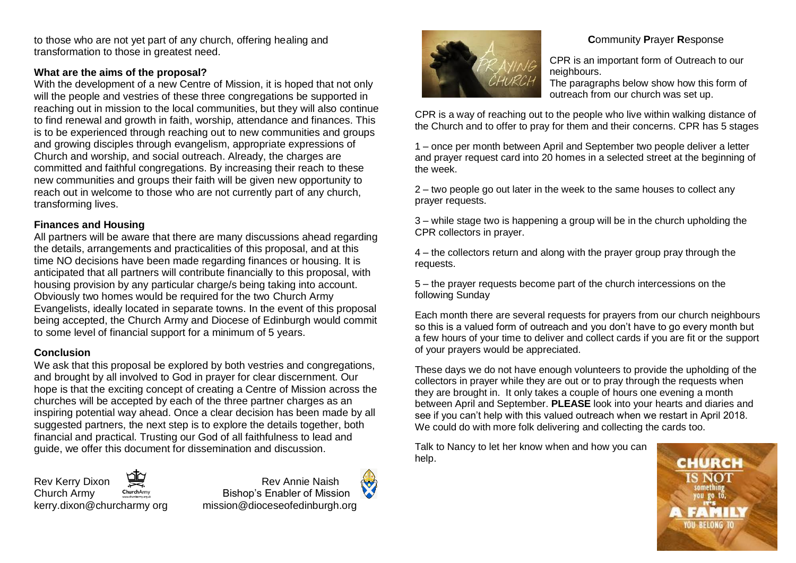to those who are not yet part of any church, offering healing and transformation to those in greatest need.

## **What are the aims of the proposal?**

With the development of a new Centre of Mission, it is hoped that not only will the people and vestries of these three congregations be supported in reaching out in mission to the local communities, but they will also continue to find renewal and growth in faith, worship, attendance and finances. This is to be experienced through reaching out to new communities and groups and growing disciples through evangelism, appropriate expressions of Church and worship, and social outreach. Already, the charges are committed and faithful congregations. By increasing their reach to these new communities and groups their faith will be given new opportunity to reach out in welcome to those who are not currently part of any church, transforming lives.

## **Finances and Housing**

All partners will be aware that there are many discussions ahead regarding the details, arrangements and practicalities of this proposal, and at this time NO decisions have been made regarding finances or housing. It is anticipated that all partners will contribute financially to this proposal, with housing provision by any particular charge/s being taking into account. Obviously two homes would be required for the two Church Army Evangelists, ideally located in separate towns. In the event of this proposal being accepted, the Church Army and Diocese of Edinburgh would commit to some level of financial support for a minimum of 5 years.

## **Conclusion**

We ask that this proposal be explored by both vestries and congregations, and brought by all involved to God in prayer for clear discernment. Our hope is that the exciting concept of creating a Centre of Mission across the churches will be accepted by each of the three partner charges as an inspiring potential way ahead. Once a clear decision has been made by all suggested partners, the next step is to explore the details together, both financial and practical. Trusting our God of all faithfulness to lead and guide, we offer this document for dissemination and discussion.

Rev Kerry Dixon **Review Annie Naish**<br>Church Army Chiefharmy Bishop's Enabler of Missi

ChurchArmy **Bishop's Enabler of Mission** kerry.dixon@churcharmy org mission@dioceseofedinburgh.org



## **C**ommunity **P**rayer **R**esponse

CPR is an important form of Outreach to our neighbours.

The paragraphs below show how this form of outreach from our church was set up.

CPR is a way of reaching out to the people who live within walking distance of the Church and to offer to pray for them and their concerns. CPR has 5 stages

1 – once per month between April and September two people deliver a letter and prayer request card into 20 homes in a selected street at the beginning of the week.

2 – two people go out later in the week to the same houses to collect any prayer requests.

3 – while stage two is happening a group will be in the church upholding the CPR collectors in prayer.

4 – the collectors return and along with the prayer group pray through the requests.

5 – the prayer requests become part of the church intercessions on the following Sunday

Each month there are several requests for prayers from our church neighbours so this is a valued form of outreach and you don't have to go every month but a few hours of your time to deliver and collect cards if you are fit or the support of your prayers would be appreciated.

These days we do not have enough volunteers to provide the upholding of the collectors in prayer while they are out or to pray through the requests when they are brought in. It only takes a couple of hours one evening a month between April and September. **PLEASE** look into your hearts and diaries and see if you can't help with this valued outreach when we restart in April 2018. We could do with more folk delivering and collecting the cards too.

Talk to Nancy to let her know when and how you can help.